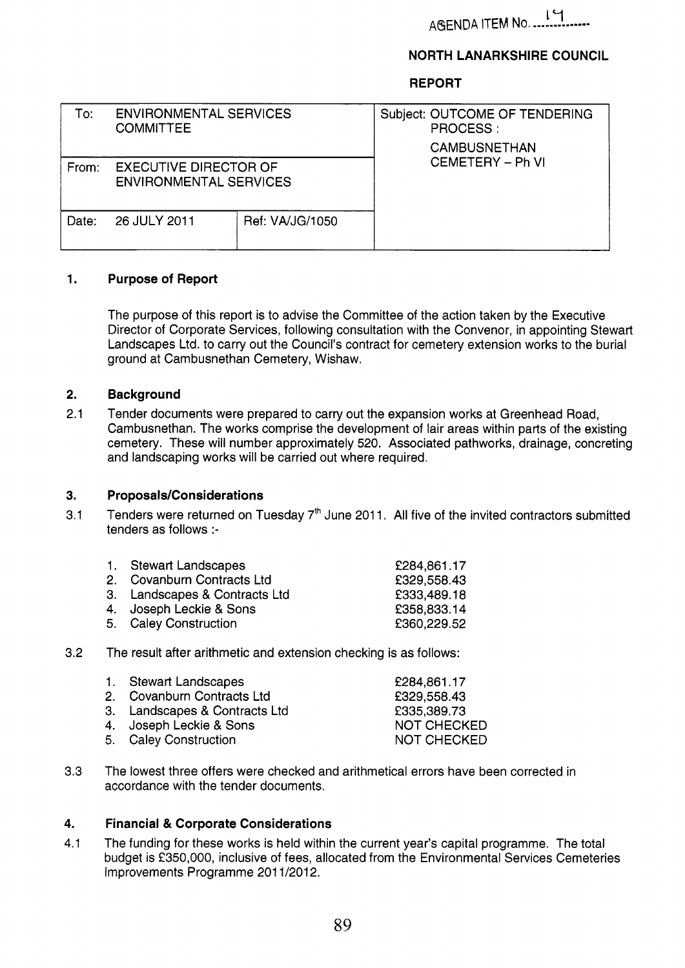AGENDA ITEM No.

# **NORTH LANARKSHIRE COUNCIL**

**REPORT** 

| Го:   | <b>ENVIRONMENTAL SERVICES</b><br>COMMITTEE                    |                 | Subject: OUTCOME OF TENDERING<br>PROCESS:<br><b>CAMBUSNETHAN</b> |  |
|-------|---------------------------------------------------------------|-----------------|------------------------------------------------------------------|--|
| From: | <b>EXECUTIVE DIRECTOR OF</b><br><b>ENVIRONMENTAL SERVICES</b> |                 | CEMETERY - Ph VI                                                 |  |
| Date: | 26 JULY 2011                                                  | Ref: VA/JG/1050 |                                                                  |  |

### **1. Purpose of Report**

The purpose of this report is to advise the Committee of the action taken by the Executive Director of Corporate Services, following consultation with the Convenor, in appointing Stewart Landscapes Ltd. to carry out the Council's contract for cemetery extension works to the burial ground at Cambusnethan Cemetery, Wishaw.

#### **2. Background**

2.1 Tender documents were prepared to carry out the expansion works at Greenhead Road, Cambusnethan. The works comprise the development of lair areas within parts of the existing cemetery. These will number approximately 520. Associated pathworks, drainage, concreting and landscaping works will be carried out where required.

#### **3. Proposals/Considerations**

3.1 Tenders were returned on Tuesday  $7<sup>th</sup>$  June 2011. All five of the invited contractors submitted tenders as follows :-

|                                                                                                                                                                                                                                | 1. Stewart Landscapes         | £284,861.17 |  |  |
|--------------------------------------------------------------------------------------------------------------------------------------------------------------------------------------------------------------------------------|-------------------------------|-------------|--|--|
|                                                                                                                                                                                                                                | 2. Covanburn Contracts Ltd    | £329,558.43 |  |  |
|                                                                                                                                                                                                                                | 3. Landscapes & Contracts Ltd | £333,489.18 |  |  |
|                                                                                                                                                                                                                                | 4. Joseph Leckie & Sons       | £358,833.14 |  |  |
|                                                                                                                                                                                                                                | 5. Caley Construction         | £360,229.52 |  |  |
| The computer of the computer and and activities and analytical computer of the computer of the computer of the computer of the computer of the computer of the computer of the computer of the computer of the computer of the |                               |             |  |  |

3.2 The result after arithmetic and extension checking is as follows:

| 1. Stewart Landscapes         | £284,861.17        |
|-------------------------------|--------------------|
| 2. Covanburn Contracts Ltd    | £329,558.43        |
| 3. Landscapes & Contracts Ltd | £335,389.73        |
| 4. Joseph Leckie & Sons       | <b>NOT CHECKED</b> |
| 5. Caley Construction         | NOT CHECKED        |
|                               |                    |

3.3 The lowest three offers were checked and arithmetical errors have been corrected in accordance with the tender documents.

### **4. Financial** & **Corporate Considerations**

4.1 The funding for these works is held within the current year's capital programme. The total budget is f350,000, inclusive of fees, allocated from the Environmental Services Cemeteries Improvements Programme 201 1/2012.